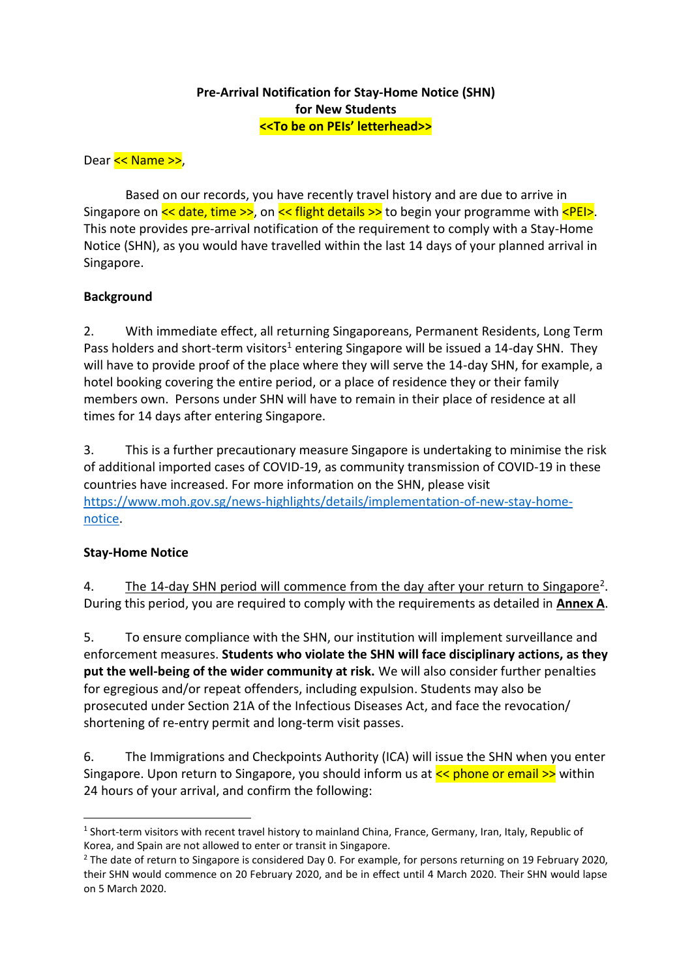### **Pre-Arrival Notification for Stay-Home Notice (SHN) for New Students <<To be on PEIs' letterhead>>**

Dear << Name >>,

Based on our records, you have recently travel history and are due to arrive in Singapore on  $\leq$  date, time  $\geq$ , on  $\leq$  flight details  $\geq$  to begin your programme with  $\leq$ PEI $>$ . This note provides pre-arrival notification of the requirement to comply with a Stay-Home Notice (SHN), as you would have travelled within the last 14 days of your planned arrival in Singapore.

# **Background**

2. With immediate effect, all returning Singaporeans, Permanent Residents, Long Term Pass holders and short-term visitors<sup>1</sup> entering Singapore will be issued a 14-day SHN. They will have to provide proof of the place where they will serve the 14-day SHN, for example, a hotel booking covering the entire period, or a place of residence they or their family members own. Persons under SHN will have to remain in their place of residence at all times for 14 days after entering Singapore.

3. This is a further precautionary measure Singapore is undertaking to minimise the risk of additional imported cases of COVID-19, as community transmission of COVID-19 in these countries have increased. For more information on the SHN, please visit [https://www.moh.gov.sg/news-highlights/details/implementation-of-new-stay-home](https://www.moh.gov.sg/news-highlights/details/implementation-of-new-stay-home-notice)[notice.](https://www.moh.gov.sg/news-highlights/details/implementation-of-new-stay-home-notice)

# **Stay-Home Notice**

**.** 

4. The 14-day SHN period will commence from the day after your return to Singapore<sup>2</sup>. During this period, you are required to comply with the requirements as detailed in **Annex A**.

5. To ensure compliance with the SHN, our institution will implement surveillance and enforcement measures. **Students who violate the SHN will face disciplinary actions, as they put the well-being of the wider community at risk.** We will also consider further penalties for egregious and/or repeat offenders, including expulsion. Students may also be prosecuted under Section 21A of the Infectious Diseases Act, and face the revocation/ shortening of re-entry permit and long-term visit passes.

6. The Immigrations and Checkpoints Authority (ICA) will issue the SHN when you enter Singapore. Upon return to Singapore, you should inform us at  $\leq$  phone or email  $\geq$  within 24 hours of your arrival, and confirm the following:

<sup>&</sup>lt;sup>1</sup> Short-term visitors with recent travel history to mainland China, France, Germany, Iran, Italy, Republic of Korea, and Spain are not allowed to enter or transit in Singapore.

<sup>&</sup>lt;sup>2</sup> The date of return to Singapore is considered Day 0. For example, for persons returning on 19 February 2020, their SHN would commence on 20 February 2020, and be in effect until 4 March 2020. Their SHN would lapse on 5 March 2020.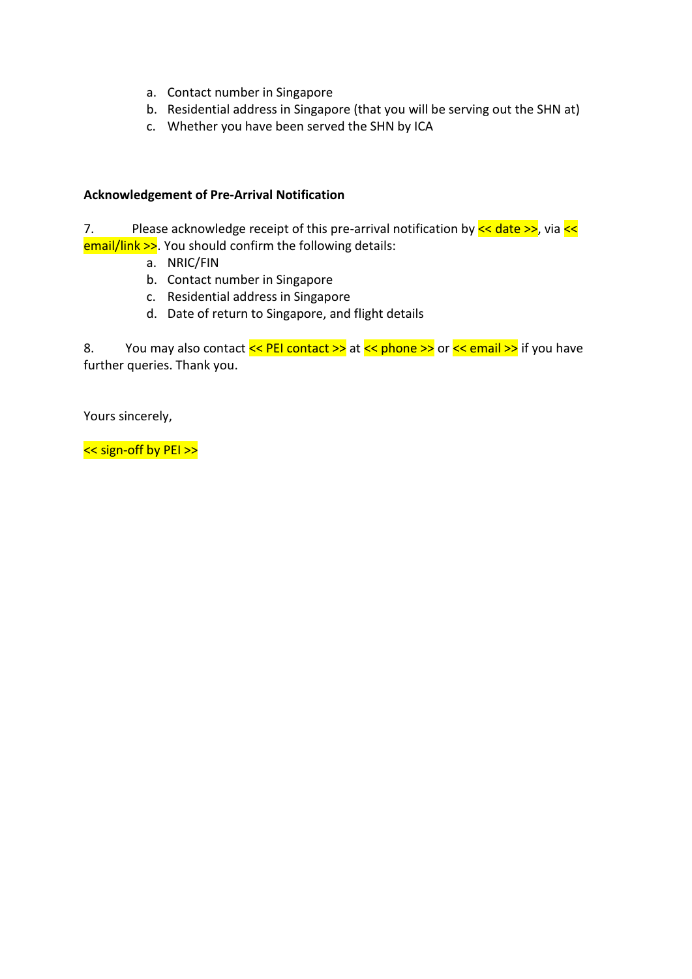- a. Contact number in Singapore
- b. Residential address in Singapore (that you will be serving out the SHN at)
- c. Whether you have been served the SHN by ICA

### **Acknowledgement of Pre-Arrival Notification**

7. Please acknowledge receipt of this pre-arrival notification by  $\leq$  date  $\geq$ , via  $\leq$ email/link >>. You should confirm the following details:

- a. NRIC/FIN
- b. Contact number in Singapore
- c. Residential address in Singapore
- d. Date of return to Singapore, and flight details

8. You may also contact << PEI contact >> at << phone >> or << email >> if you have further queries. Thank you.

Yours sincerely,

<< sign-off by PEI >>